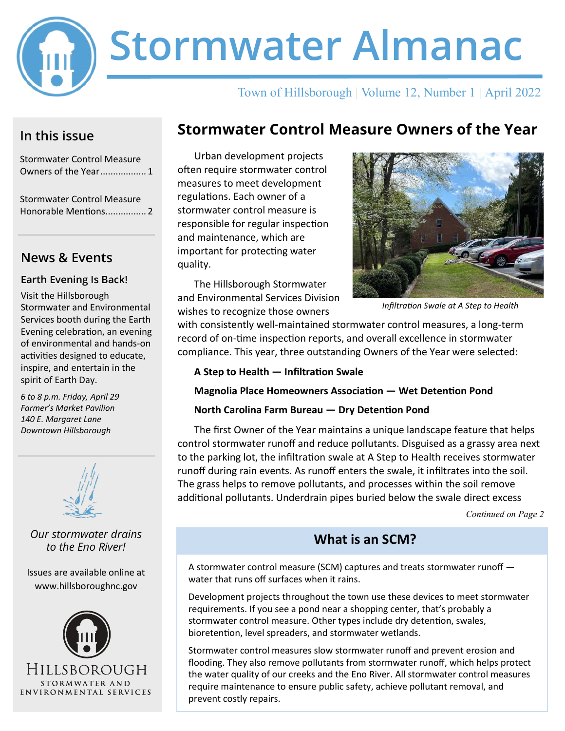

# **Stormwater Almanac**

## Town of Hillsborough | Volume 12, Number 1 | April 2022

## **In this issue**

Stormwater Control Measure Owners of the Year.................. 1

Stormwater Control Measure Honorable Mentions................ 2

## **News & Events**

#### **Earth Evening Is Back!**

Visit the Hillsborough Stormwater and Environmental Services booth during the Earth Evening celebration, an evening of environmental and hands-on activities designed to educate, inspire, and entertain in the spirit of Earth Day.

*6 to 8 p.m. Friday, April 29 Farmer's Market Pavilion 140 E. Margaret Lane Downtown Hillsborough*



*Our stormwater drains to the Eno River!*

Issues are available online at www.hillsboroughnc.gov



# **Stormwater Control Measure Owners of the Year**

Urban development projects often require stormwater control measures to meet development regulations. Each owner of a stormwater control measure is responsible for regular inspection and maintenance, which are important for protecting water quality.

The Hillsborough Stormwater and Environmental Services Division wishes to recognize those owners



*Infiltration Swale at A Step to Health*

with consistently well-maintained stormwater control measures, a long-term record of on-time inspection reports, and overall excellence in stormwater compliance. This year, three outstanding Owners of the Year were selected:

#### **A Step to Health — Infiltration Swale**

#### **Magnolia Place Homeowners Association — Wet Detention Pond**

#### **North Carolina Farm Bureau — Dry Detention Pond**

The first Owner of the Year maintains a unique landscape feature that helps control stormwater runoff and reduce pollutants. Disguised as a grassy area next to the parking lot, the infiltration swale at A Step to Health receives stormwater runoff during rain events. As runoff enters the swale, it infiltrates into the soil. The grass helps to remove pollutants, and processes within the soil remove additional pollutants. Underdrain pipes buried below the swale direct excess

*Continued on Page 2*

## **What is an SCM?**

A stormwater control measure (SCM) captures and treats stormwater runoff water that runs off surfaces when it rains.

Development projects throughout the town use these devices to meet stormwater requirements. If you see a pond near a shopping center, that's probably a stormwater control measure. Other types include dry detention, swales, bioretention, level spreaders, and stormwater wetlands.

Stormwater control measures slow stormwater runoff and prevent erosion and flooding. They also remove pollutants from stormwater runoff, which helps protect the water quality of our creeks and the Eno River. All stormwater control measures require maintenance to ensure public safety, achieve pollutant removal, and prevent costly repairs.